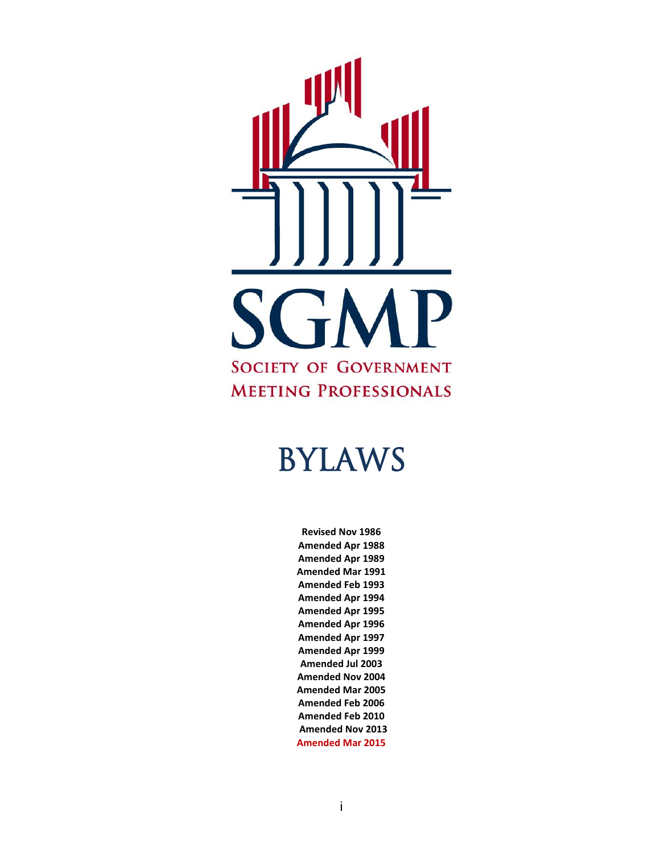

# BYLAWS

**Revised Nov 1986 Amended Apr 1988 Amended Apr 1989 Amended Mar 1991 Amended Feb 1993 Amended Apr 1994 Amended Apr 1995 Amended Apr 1996 Amended Apr 1997 Amended Apr 1999 Amended Jul 2003 Amended Nov 2004 Amended Mar 2005 Amended Feb 2006 Amended Feb 2010 Amended Nov 2013 Amended Mar 2015**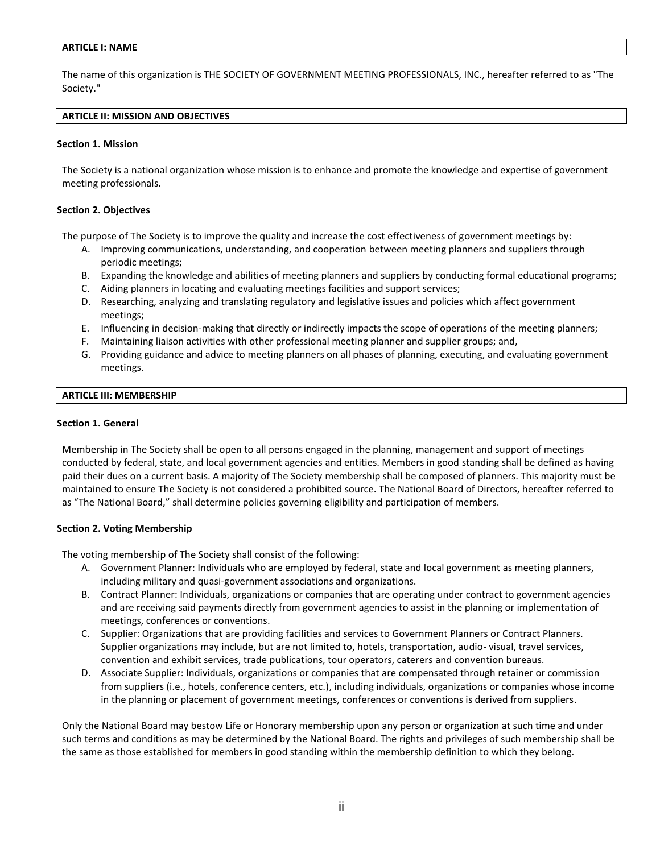## **ARTICLE I: NAME**

The name of this organization is THE SOCIETY OF GOVERNMENT MEETING PROFESSIONALS, INC., hereafter referred to as "The Society."

## **ARTICLE II: MISSION AND OBJECTIVES**

## **Section 1. Mission**

The Society is a national organization whose mission is to enhance and promote the knowledge and expertise of government meeting professionals.

## **Section 2. Objectives**

The purpose of The Society is to improve the quality and increase the cost effectiveness of government meetings by:

- A. Improving communications, understanding, and cooperation between meeting planners and suppliers through periodic meetings;
- B. Expanding the knowledge and abilities of meeting planners and suppliers by conducting formal educational programs;
- C. Aiding planners in locating and evaluating meetings facilities and support services;
- D. Researching, analyzing and translating regulatory and legislative issues and policies which affect government meetings;
- E. Influencing in decision-making that directly or indirectly impacts the scope of operations of the meeting planners;
- F. Maintaining liaison activities with other professional meeting planner and supplier groups; and,
- G. Providing guidance and advice to meeting planners on all phases of planning, executing, and evaluating government meetings.

## **ARTICLE III: MEMBERSHIP**

## **Section 1. General**

Membership in The Society shall be open to all persons engaged in the planning, management and support of meetings conducted by federal, state, and local government agencies and entities. Members in good standing shall be defined as having paid their dues on a current basis. A majority of The Society membership shall be composed of planners. This majority must be maintained to ensure The Society is not considered a prohibited source. The National Board of Directors, hereafter referred to as "The National Board," shall determine policies governing eligibility and participation of members.

## **Section 2. Voting Membership**

The voting membership of The Society shall consist of the following:

- A. Government Planner: Individuals who are employed by federal, state and local government as meeting planners, including military and quasi-government associations and organizations.
- B. Contract Planner: Individuals, organizations or companies that are operating under contract to government agencies and are receiving said payments directly from government agencies to assist in the planning or implementation of meetings, conferences or conventions.
- C. Supplier: Organizations that are providing facilities and services to Government Planners or Contract Planners. Supplier organizations may include, but are not limited to, hotels, transportation, audio- visual, travel services, convention and exhibit services, trade publications, tour operators, caterers and convention bureaus.
- D. Associate Supplier: Individuals, organizations or companies that are compensated through retainer or commission from suppliers (i.e., hotels, conference centers, etc.), including individuals, organizations or companies whose income in the planning or placement of government meetings, conferences or conventions is derived from suppliers.

Only the National Board may bestow Life or Honorary membership upon any person or organization at such time and under such terms and conditions as may be determined by the National Board. The rights and privileges of such membership shall be the same as those established for members in good standing within the membership definition to which they belong.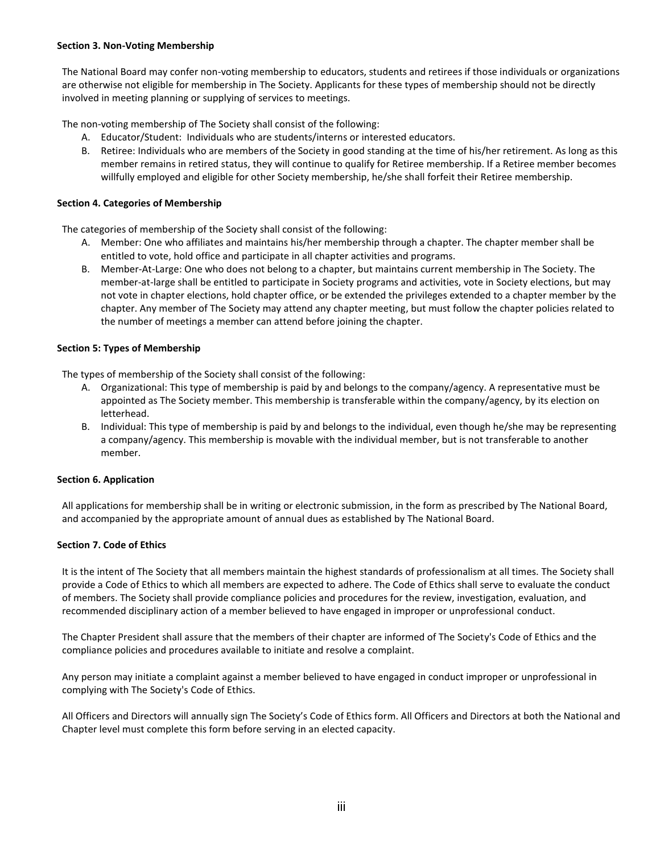## **Section 3. Non-Voting Membership**

The National Board may confer non-voting membership to educators, students and retirees if those individuals or organizations are otherwise not eligible for membership in The Society. Applicants for these types of membership should not be directly involved in meeting planning or supplying of services to meetings.

The non-voting membership of The Society shall consist of the following:

- A. Educator/Student: Individuals who are students/interns or interested educators.
- B. Retiree: Individuals who are members of the Society in good standing at the time of his/her retirement. As long as this member remains in retired status, they will continue to qualify for Retiree membership. If a Retiree member becomes willfully employed and eligible for other Society membership, he/she shall forfeit their Retiree membership.

# **Section 4. Categories of Membership**

The categories of membership of the Society shall consist of the following:

- A. Member: One who affiliates and maintains his/her membership through a chapter. The chapter member shall be entitled to vote, hold office and participate in all chapter activities and programs.
- B. Member-At-Large: One who does not belong to a chapter, but maintains current membership in The Society. The member-at-large shall be entitled to participate in Society programs and activities, vote in Society elections, but may not vote in chapter elections, hold chapter office, or be extended the privileges extended to a chapter member by the chapter. Any member of The Society may attend any chapter meeting, but must follow the chapter policies related to the number of meetings a member can attend before joining the chapter.

# **Section 5: Types of Membership**

The types of membership of the Society shall consist of the following:

- A. Organizational: This type of membership is paid by and belongs to the company/agency. A representative must be appointed as The Society member. This membership is transferable within the company/agency, by its election on letterhead.
- B. Individual: This type of membership is paid by and belongs to the individual, even though he/she may be representing a company/agency. This membership is movable with the individual member, but is not transferable to another member.

# **Section 6. Application**

All applications for membership shall be in writing or electronic submission, in the form as prescribed by The National Board, and accompanied by the appropriate amount of annual dues as established by The National Board.

# **Section 7. Code of Ethics**

It is the intent of The Society that all members maintain the highest standards of professionalism at all times. The Society shall provide a Code of Ethics to which all members are expected to adhere. The Code of Ethics shall serve to evaluate the conduct of members. The Society shall provide compliance policies and procedures for the review, investigation, evaluation, and recommended disciplinary action of a member believed to have engaged in improper or unprofessional conduct.

The Chapter President shall assure that the members of their chapter are informed of The Society's Code of Ethics and the compliance policies and procedures available to initiate and resolve a complaint.

Any person may initiate a complaint against a member believed to have engaged in conduct improper or unprofessional in complying with The Society's Code of Ethics.

All Officers and Directors will annually sign The Society's Code of Ethics form. All Officers and Directors at both the National and Chapter level must complete this form before serving in an elected capacity.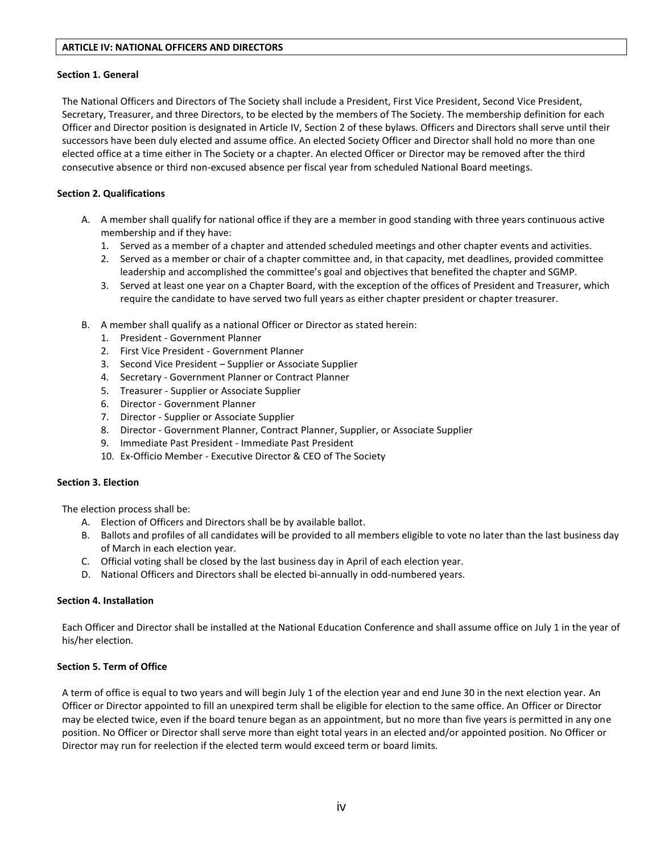## **ARTICLE IV: NATIONAL OFFICERS AND DIRECTORS**

## **Section 1. General**

The National Officers and Directors of The Society shall include a President, First Vice President, Second Vice President, Secretary, Treasurer, and three Directors, to be elected by the members of The Society. The membership definition for each Officer and Director position is designated in Article IV, Section 2 of these bylaws. Officers and Directors shall serve until their successors have been duly elected and assume office. An elected Society Officer and Director shall hold no more than one elected office at a time either in The Society or a chapter. An elected Officer or Director may be removed after the third consecutive absence or third non-excused absence per fiscal year from scheduled National Board meetings.

# **Section 2. Qualifications**

- A. A member shall qualify for national office if they are a member in good standing with three years continuous active membership and if they have:
	- 1. Served as a member of a chapter and attended scheduled meetings and other chapter events and activities.
	- 2. Served as a member or chair of a chapter committee and, in that capacity, met deadlines, provided committee leadership and accomplished the committee's goal and objectives that benefited the chapter and SGMP.
	- 3. Served at least one year on a Chapter Board, with the exception of the offices of President and Treasurer, which require the candidate to have served two full years as either chapter president or chapter treasurer.
- B. A member shall qualify as a national Officer or Director as stated herein:
	- 1. President Government Planner
	- 2. First Vice President Government Planner
	- 3. Second Vice President Supplier or Associate Supplier
	- 4. Secretary Government Planner or Contract Planner
	- 5. Treasurer Supplier or Associate Supplier
	- 6. Director Government Planner
	- 7. Director Supplier or Associate Supplier
	- 8. Director Government Planner, Contract Planner, Supplier, or Associate Supplier
	- 9. Immediate Past President Immediate Past President
	- 10. Ex-Officio Member Executive Director & CEO of The Society

# **Section 3. Election**

The election process shall be:

- A. Election of Officers and Directors shall be by available ballot.
- B. Ballots and profiles of all candidates will be provided to all members eligible to vote no later than the last business day of March in each election year.
- C. Official voting shall be closed by the last business day in April of each election year.
- D. National Officers and Directors shall be elected bi-annually in odd-numbered years.

# **Section 4. Installation**

Each Officer and Director shall be installed at the National Education Conference and shall assume office on July 1 in the year of his/her election.

# **Section 5. Term of Office**

A term of office is equal to two years and will begin July 1 of the election year and end June 30 in the next election year. An Officer or Director appointed to fill an unexpired term shall be eligible for election to the same office. An Officer or Director may be elected twice, even if the board tenure began as an appointment, but no more than five years is permitted in any one position. No Officer or Director shall serve more than eight total years in an elected and/or appointed position. No Officer or Director may run for reelection if the elected term would exceed term or board limits.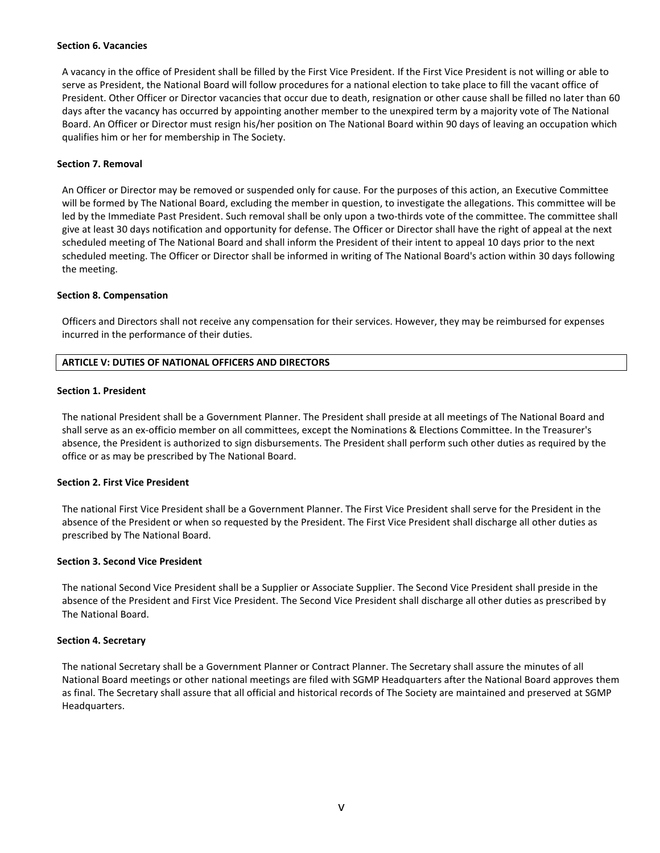#### **Section 6. Vacancies**

A vacancy in the office of President shall be filled by the First Vice President. If the First Vice President is not willing or able to serve as President, the National Board will follow procedures for a national election to take place to fill the vacant office of President. Other Officer or Director vacancies that occur due to death, resignation or other cause shall be filled no later than 60 days after the vacancy has occurred by appointing another member to the unexpired term by a majority vote of The National Board. An Officer or Director must resign his/her position on The National Board within 90 days of leaving an occupation which qualifies him or her for membership in The Society.

## **Section 7. Removal**

An Officer or Director may be removed or suspended only for cause. For the purposes of this action, an Executive Committee will be formed by The National Board, excluding the member in question, to investigate the allegations. This committee will be led by the Immediate Past President. Such removal shall be only upon a two-thirds vote of the committee. The committee shall give at least 30 days notification and opportunity for defense. The Officer or Director shall have the right of appeal at the next scheduled meeting of The National Board and shall inform the President of their intent to appeal 10 days prior to the next scheduled meeting. The Officer or Director shall be informed in writing of The National Board's action within 30 days following the meeting.

## **Section 8. Compensation**

Officers and Directors shall not receive any compensation for their services. However, they may be reimbursed for expenses incurred in the performance of their duties.

## **ARTICLE V: DUTIES OF NATIONAL OFFICERS AND DIRECTORS**

## **Section 1. President**

The national President shall be a Government Planner. The President shall preside at all meetings of The National Board and shall serve as an ex-officio member on all committees, except the Nominations & Elections Committee. In the Treasurer's absence, the President is authorized to sign disbursements. The President shall perform such other duties as required by the office or as may be prescribed by The National Board.

## **Section 2. First Vice President**

The national First Vice President shall be a Government Planner. The First Vice President shall serve for the President in the absence of the President or when so requested by the President. The First Vice President shall discharge all other duties as prescribed by The National Board.

## **Section 3. Second Vice President**

The national Second Vice President shall be a Supplier or Associate Supplier. The Second Vice President shall preside in the absence of the President and First Vice President. The Second Vice President shall discharge all other duties as prescribed by The National Board.

## **Section 4. Secretary**

The national Secretary shall be a Government Planner or Contract Planner. The Secretary shall assure the minutes of all National Board meetings or other national meetings are filed with SGMP Headquarters after the National Board approves them as final. The Secretary shall assure that all official and historical records of The Society are maintained and preserved at SGMP Headquarters.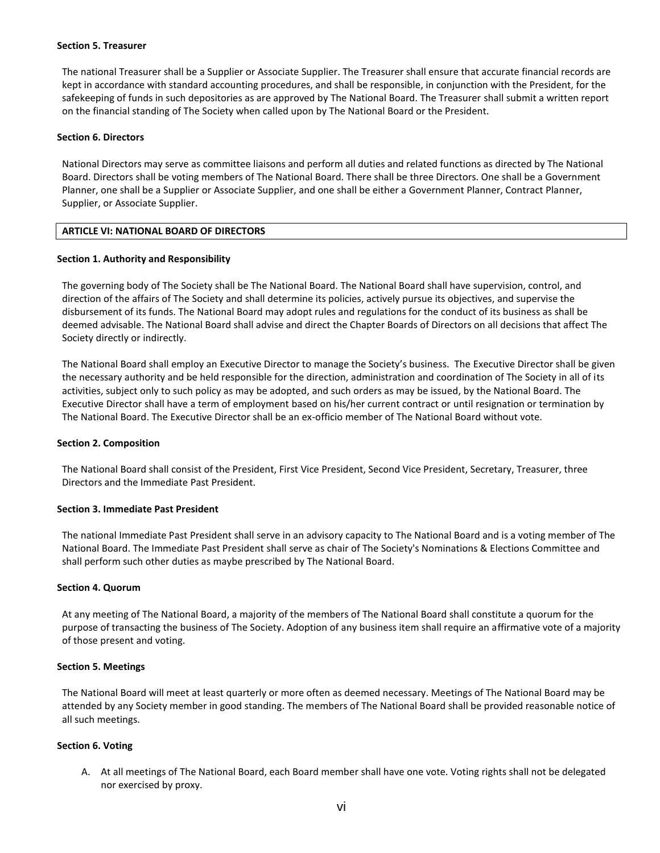#### **Section 5. Treasurer**

The national Treasurer shall be a Supplier or Associate Supplier. The Treasurer shall ensure that accurate financial records are kept in accordance with standard accounting procedures, and shall be responsible, in conjunction with the President, for the safekeeping of funds in such depositories as are approved by The National Board. The Treasurer shall submit a written report on the financial standing of The Society when called upon by The National Board or the President.

#### **Section 6. Directors**

National Directors may serve as committee liaisons and perform all duties and related functions as directed by The National Board. Directors shall be voting members of The National Board. There shall be three Directors. One shall be a Government Planner, one shall be a Supplier or Associate Supplier, and one shall be either a Government Planner, Contract Planner, Supplier, or Associate Supplier.

# **ARTICLE VI: NATIONAL BOARD OF DIRECTORS**

#### **Section 1. Authority and Responsibility**

The governing body of The Society shall be The National Board. The National Board shall have supervision, control, and direction of the affairs of The Society and shall determine its policies, actively pursue its objectives, and supervise the disbursement of its funds. The National Board may adopt rules and regulations for the conduct of its business as shall be deemed advisable. The National Board shall advise and direct the Chapter Boards of Directors on all decisions that affect The Society directly or indirectly.

The National Board shall employ an Executive Director to manage the Society's business. The Executive Director shall be given the necessary authority and be held responsible for the direction, administration and coordination of The Society in all of its activities, subject only to such policy as may be adopted, and such orders as may be issued, by the National Board. The Executive Director shall have a term of employment based on his/her current contract or until resignation or termination by The National Board. The Executive Director shall be an ex-officio member of The National Board without vote.

#### **Section 2. Composition**

The National Board shall consist of the President, First Vice President, Second Vice President, Secretary, Treasurer, three Directors and the Immediate Past President.

#### **Section 3. Immediate Past President**

The national Immediate Past President shall serve in an advisory capacity to The National Board and is a voting member of The National Board. The Immediate Past President shall serve as chair of The Society's Nominations & Elections Committee and shall perform such other duties as maybe prescribed by The National Board.

#### **Section 4. Quorum**

At any meeting of The National Board, a majority of the members of The National Board shall constitute a quorum for the purpose of transacting the business of The Society. Adoption of any business item shall require an affirmative vote of a majority of those present and voting.

#### **Section 5. Meetings**

The National Board will meet at least quarterly or more often as deemed necessary. Meetings of The National Board may be attended by any Society member in good standing. The members of The National Board shall be provided reasonable notice of all such meetings.

## **Section 6. Voting**

A. At all meetings of The National Board, each Board member shall have one vote. Voting rights shall not be delegated nor exercised by proxy.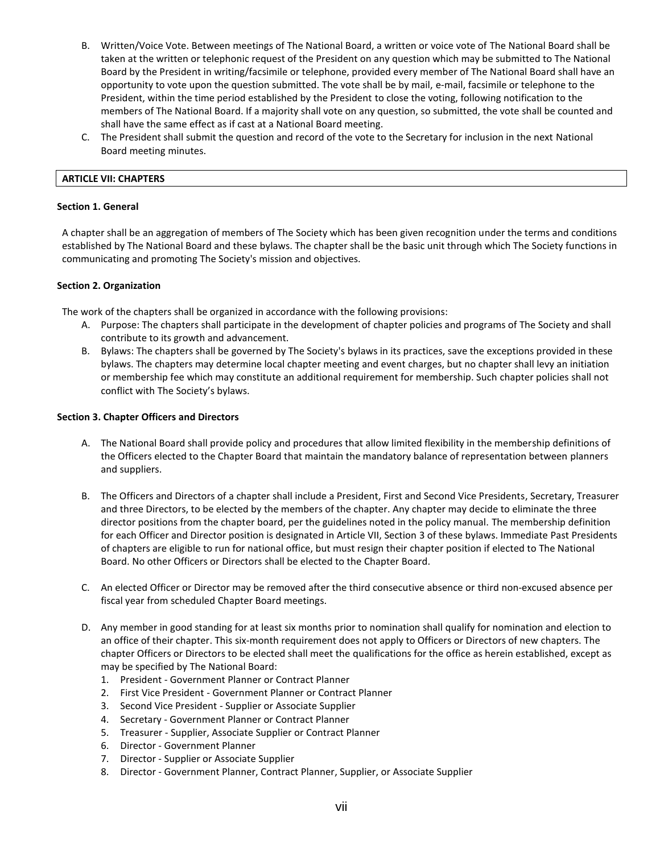- B. Written/Voice Vote. Between meetings of The National Board, a written or voice vote of The National Board shall be taken at the written or telephonic request of the President on any question which may be submitted to The National Board by the President in writing/facsimile or telephone, provided every member of The National Board shall have an opportunity to vote upon the question submitted. The vote shall be by mail, e-mail, facsimile or telephone to the President, within the time period established by the President to close the voting, following notification to the members of The National Board. If a majority shall vote on any question, so submitted, the vote shall be counted and shall have the same effect as if cast at a National Board meeting.
- C. The President shall submit the question and record of the vote to the Secretary for inclusion in the next National Board meeting minutes.

## **ARTICLE VII: CHAPTERS**

#### **Section 1. General**

A chapter shall be an aggregation of members of The Society which has been given recognition under the terms and conditions established by The National Board and these bylaws. The chapter shall be the basic unit through which The Society functions in communicating and promoting The Society's mission and objectives.

## **Section 2. Organization**

The work of the chapters shall be organized in accordance with the following provisions:

- A. Purpose: The chapters shall participate in the development of chapter policies and programs of The Society and shall contribute to its growth and advancement.
- B. Bylaws: The chapters shall be governed by The Society's bylaws in its practices, save the exceptions provided in these bylaws. The chapters may determine local chapter meeting and event charges, but no chapter shall levy an initiation or membership fee which may constitute an additional requirement for membership. Such chapter policies shall not conflict with The Society's bylaws.

## **Section 3. Chapter Officers and Directors**

- A. The National Board shall provide policy and procedures that allow limited flexibility in the membership definitions of the Officers elected to the Chapter Board that maintain the mandatory balance of representation between planners and suppliers.
- B. The Officers and Directors of a chapter shall include a President, First and Second Vice Presidents, Secretary, Treasurer and three Directors, to be elected by the members of the chapter. Any chapter may decide to eliminate the three director positions from the chapter board, per the guidelines noted in the policy manual. The membership definition for each Officer and Director position is designated in Article VII, Section 3 of these bylaws. Immediate Past Presidents of chapters are eligible to run for national office, but must resign their chapter position if elected to The National Board. No other Officers or Directors shall be elected to the Chapter Board.
- C. An elected Officer or Director may be removed after the third consecutive absence or third non-excused absence per fiscal year from scheduled Chapter Board meetings.
- D. Any member in good standing for at least six months prior to nomination shall qualify for nomination and election to an office of their chapter. This six-month requirement does not apply to Officers or Directors of new chapters. The chapter Officers or Directors to be elected shall meet the qualifications for the office as herein established, except as may be specified by The National Board:
	- 1. President Government Planner or Contract Planner
	- 2. First Vice President Government Planner or Contract Planner
	- 3. Second Vice President Supplier or Associate Supplier
	- 4. Secretary Government Planner or Contract Planner
	- 5. Treasurer Supplier, Associate Supplier or Contract Planner
	- 6. Director Government Planner
	- 7. Director Supplier or Associate Supplier
	- 8. Director Government Planner, Contract Planner, Supplier, or Associate Supplier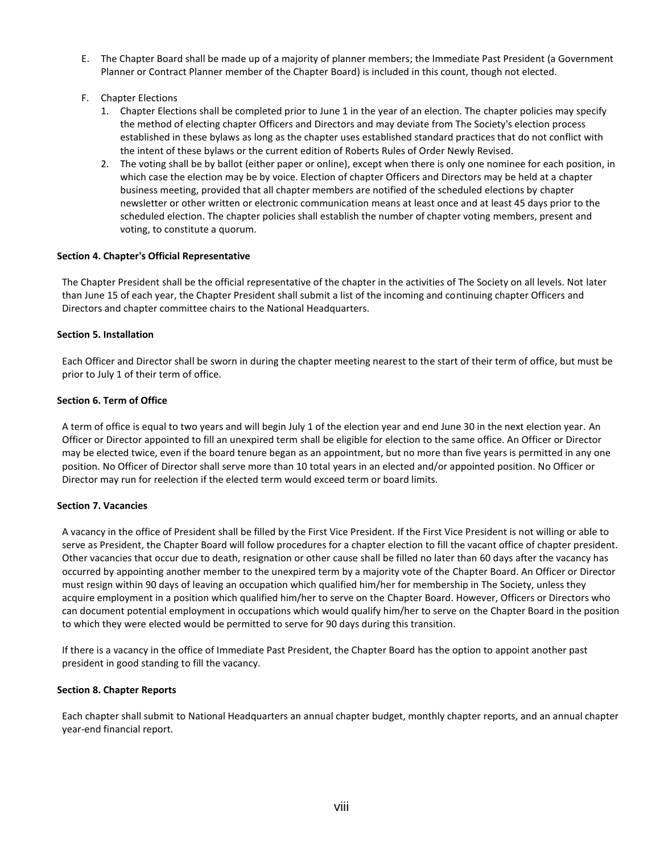- E. The Chapter Board shall be made up of a majority of planner members; the Immediate Past President (a Government Planner or Contract Planner member of the Chapter Board) is included in this count, though not elected.
- F. Chapter Elections
	- 1. Chapter Elections shall be completed prior to June 1 in the year of an election. The chapter policies may specify the method of electing chapter Officers and Directors and may deviate from The Society's election process established in these bylaws as long as the chapter uses established standard practices that do not conflict with the intent of these bylaws or the current edition of Roberts Rules of Order Newly Revised.
	- 2. The voting shall be by ballot (either paper or online), except when there is only one nominee for each position, in which case the election may be by voice. Election of chapter Officers and Directors may be held at a chapter business meeting, provided that all chapter members are notified of the scheduled elections by chapter newsletter or other written or electronic communication means at least once and at least 45 days prior to the scheduled election. The chapter policies shall establish the number of chapter voting members, present and voting, to constitute a quorum.

## **Section 4. Chapter's Official Representative**

The Chapter President shall be the official representative of the chapter in the activities of The Society on all levels. Not later than June 15 of each year, the Chapter President shall submit a list of the incoming and continuing chapter Officers and Directors and chapter committee chairs to the National Headquarters.

## **Section 5. Installation**

Each Officer and Director shall be sworn in during the chapter meeting nearest to the start of their term of office, but must be prior to July 1 of their term of office.

## **Section 6. Term of Office**

A term of office is equal to two years and will begin July 1 of the election year and end June 30 in the next election year. An Officer or Director appointed to fill an unexpired term shall be eligible for election to the same office. An Officer or Director may be elected twice, even if the board tenure began as an appointment, but no more than five years is permitted in any one position. No Officer of Director shall serve more than 10 total years in an elected and/or appointed position. No Officer or Director may run for reelection if the elected term would exceed term or board limits.

## **Section 7. Vacancies**

A vacancy in the office of President shall be filled by the First Vice President. If the First Vice President is not willing or able to serve as President, the Chapter Board will follow procedures for a chapter election to fill the vacant office of chapter president. Other vacancies that occur due to death, resignation or other cause shall be filled no later than 60 days after the vacancy has occurred by appointing another member to the unexpired term by a majority vote of the Chapter Board. An Officer or Director must resign within 90 days of leaving an occupation which qualified him/her for membership in The Society, unless they acquire employment in a position which qualified him/her to serve on the Chapter Board. However, Officers or Directors who can document potential employment in occupations which would qualify him/her to serve on the Chapter Board in the position to which they were elected would be permitted to serve for 90 days during this transition.

If there is a vacancy in the office of Immediate Past President, the Chapter Board has the option to appoint another past president in good standing to fill the vacancy.

## **Section 8. Chapter Reports**

Each chapter shall submit to National Headquarters an annual chapter budget, monthly chapter reports, and an annual chapter year-end financial report.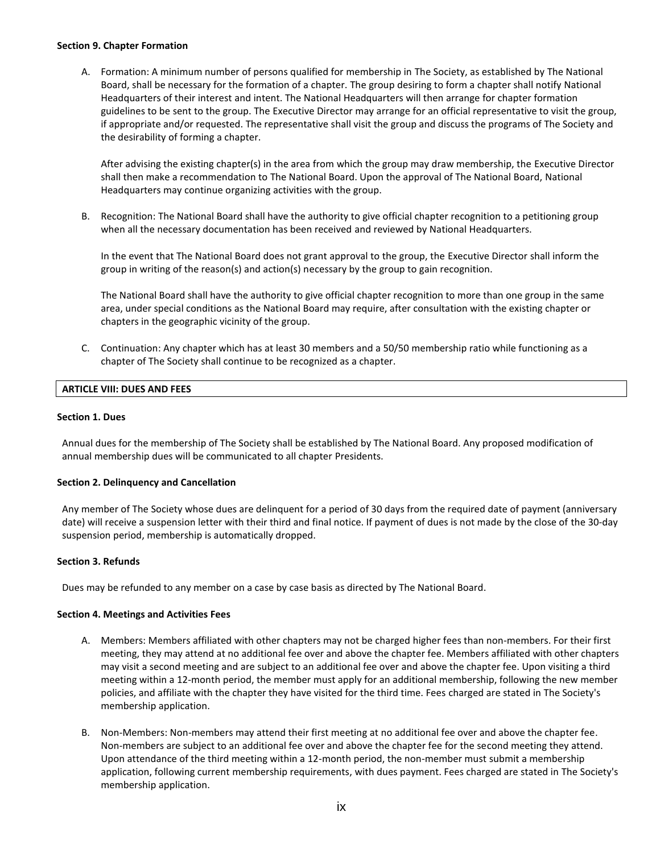## **Section 9. Chapter Formation**

A. Formation: A minimum number of persons qualified for membership in The Society, as established by The National Board, shall be necessary for the formation of a chapter. The group desiring to form a chapter shall notify National Headquarters of their interest and intent. The National Headquarters will then arrange for chapter formation guidelines to be sent to the group. The Executive Director may arrange for an official representative to visit the group, if appropriate and/or requested. The representative shall visit the group and discuss the programs of The Society and the desirability of forming a chapter.

After advising the existing chapter(s) in the area from which the group may draw membership, the Executive Director shall then make a recommendation to The National Board. Upon the approval of The National Board, National Headquarters may continue organizing activities with the group.

B. Recognition: The National Board shall have the authority to give official chapter recognition to a petitioning group when all the necessary documentation has been received and reviewed by National Headquarters.

In the event that The National Board does not grant approval to the group, the Executive Director shall inform the group in writing of the reason(s) and action(s) necessary by the group to gain recognition.

The National Board shall have the authority to give official chapter recognition to more than one group in the same area, under special conditions as the National Board may require, after consultation with the existing chapter or chapters in the geographic vicinity of the group.

C. Continuation: Any chapter which has at least 30 members and a 50/50 membership ratio while functioning as a chapter of The Society shall continue to be recognized as a chapter.

# **ARTICLE VIII: DUES AND FEES**

## **Section 1. Dues**

Annual dues for the membership of The Society shall be established by The National Board. Any proposed modification of annual membership dues will be communicated to all chapter Presidents.

## **Section 2. Delinquency and Cancellation**

Any member of The Society whose dues are delinquent for a period of 30 days from the required date of payment (anniversary date) will receive a suspension letter with their third and final notice. If payment of dues is not made by the close of the 30-day suspension period, membership is automatically dropped.

## **Section 3. Refunds**

Dues may be refunded to any member on a case by case basis as directed by The National Board.

## **Section 4. Meetings and Activities Fees**

- A. Members: Members affiliated with other chapters may not be charged higher fees than non-members. For their first meeting, they may attend at no additional fee over and above the chapter fee. Members affiliated with other chapters may visit a second meeting and are subject to an additional fee over and above the chapter fee. Upon visiting a third meeting within a 12-month period, the member must apply for an additional membership, following the new member policies, and affiliate with the chapter they have visited for the third time. Fees charged are stated in The Society's membership application.
- B. Non-Members: Non-members may attend their first meeting at no additional fee over and above the chapter fee. Non-members are subject to an additional fee over and above the chapter fee for the second meeting they attend. Upon attendance of the third meeting within a 12-month period, the non-member must submit a membership application, following current membership requirements, with dues payment. Fees charged are stated in The Society's membership application.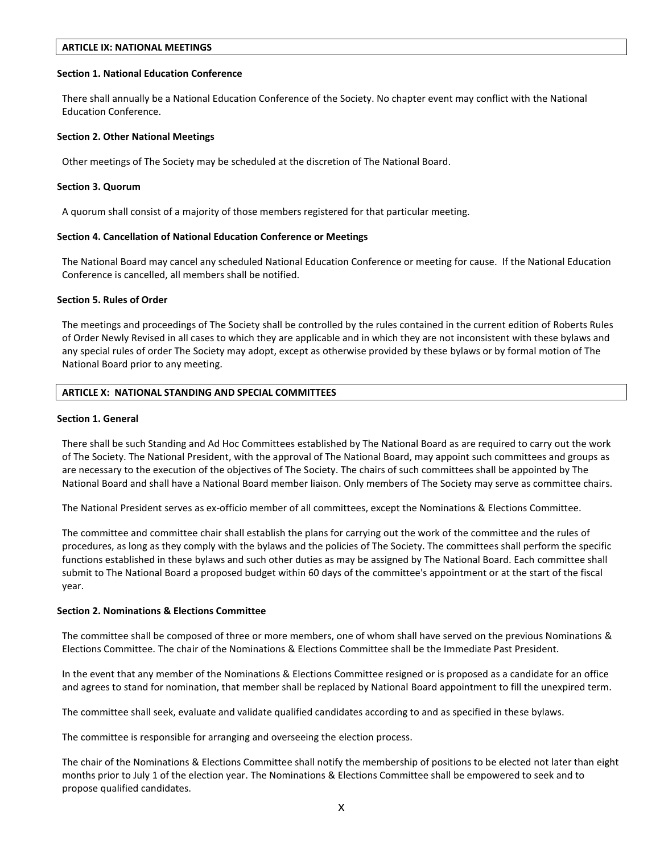## **ARTICLE IX: NATIONAL MEETINGS**

#### **Section 1. National Education Conference**

There shall annually be a National Education Conference of the Society. No chapter event may conflict with the National Education Conference.

#### **Section 2. Other National Meetings**

Other meetings of The Society may be scheduled at the discretion of The National Board.

#### **Section 3. Quorum**

A quorum shall consist of a majority of those members registered for that particular meeting.

## **Section 4. Cancellation of National Education Conference or Meetings**

The National Board may cancel any scheduled National Education Conference or meeting for cause. If the National Education Conference is cancelled, all members shall be notified.

#### **Section 5. Rules of Order**

The meetings and proceedings of The Society shall be controlled by the rules contained in the current edition of Roberts Rules of Order Newly Revised in all cases to which they are applicable and in which they are not inconsistent with these bylaws and any special rules of order The Society may adopt, except as otherwise provided by these bylaws or by formal motion of The National Board prior to any meeting.

## **ARTICLE X: NATIONAL STANDING AND SPECIAL COMMITTEES**

#### **Section 1. General**

There shall be such Standing and Ad Hoc Committees established by The National Board as are required to carry out the work of The Society. The National President, with the approval of The National Board, may appoint such committees and groups as are necessary to the execution of the objectives of The Society. The chairs of such committees shall be appointed by The National Board and shall have a National Board member liaison. Only members of The Society may serve as committee chairs.

The National President serves as ex-officio member of all committees, except the Nominations & Elections Committee.

The committee and committee chair shall establish the plans for carrying out the work of the committee and the rules of procedures, as long as they comply with the bylaws and the policies of The Society. The committees shall perform the specific functions established in these bylaws and such other duties as may be assigned by The National Board. Each committee shall submit to The National Board a proposed budget within 60 days of the committee's appointment or at the start of the fiscal year.

#### **Section 2. Nominations & Elections Committee**

The committee shall be composed of three or more members, one of whom shall have served on the previous Nominations & Elections Committee. The chair of the Nominations & Elections Committee shall be the Immediate Past President.

In the event that any member of the Nominations & Elections Committee resigned or is proposed as a candidate for an office and agrees to stand for nomination, that member shall be replaced by National Board appointment to fill the unexpired term.

The committee shall seek, evaluate and validate qualified candidates according to and as specified in these bylaws.

The committee is responsible for arranging and overseeing the election process.

The chair of the Nominations & Elections Committee shall notify the membership of positions to be elected not later than eight months prior to July 1 of the election year. The Nominations & Elections Committee shall be empowered to seek and to propose qualified candidates.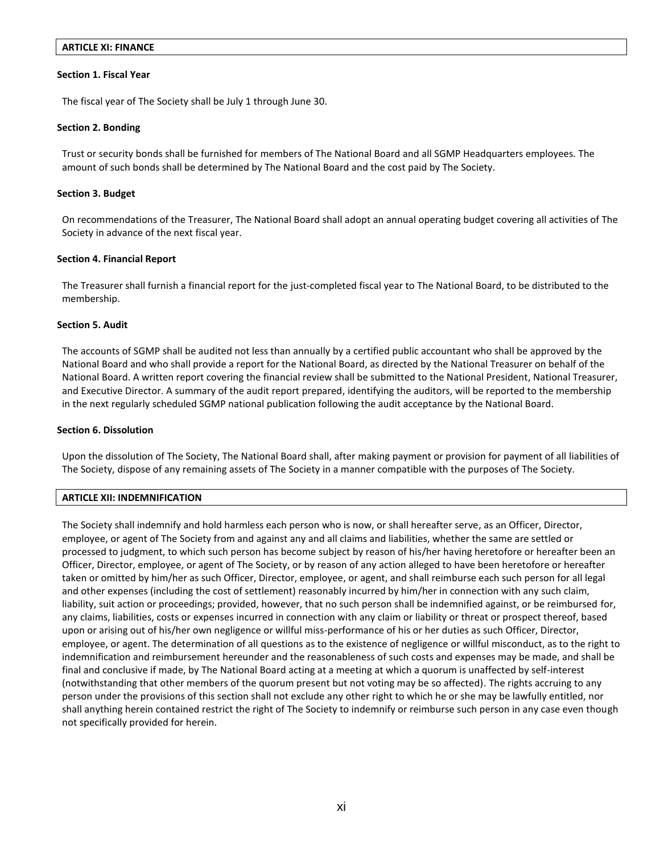## **ARTICLE XI: FINANCE**

## **Section 1. Fiscal Year**

The fiscal year of The Society shall be July 1 through June 30.

## **Section 2. Bonding**

Trust or security bonds shall be furnished for members of The National Board and all SGMP Headquarters employees. The amount of such bonds shall be determined by The National Board and the cost paid by The Society.

## **Section 3. Budget**

On recommendations of the Treasurer, The National Board shall adopt an annual operating budget covering all activities of The Society in advance of the next fiscal year.

## **Section 4. Financial Report**

The Treasurer shall furnish a financial report for the just-completed fiscal year to The National Board, to be distributed to the membership.

## **Section 5. Audit**

The accounts of SGMP shall be audited not less than annually by a certified public accountant who shall be approved by the National Board and who shall provide a report for the National Board, as directed by the National Treasurer on behalf of the National Board. A written report covering the financial review shall be submitted to the National President, National Treasurer, and Executive Director. A summary of the audit report prepared, identifying the auditors, will be reported to the membership in the next regularly scheduled SGMP national publication following the audit acceptance by the National Board.

## **Section 6. Dissolution**

Upon the dissolution of The Society, The National Board shall, after making payment or provision for payment of all liabilities of The Society, dispose of any remaining assets of The Society in a manner compatible with the purposes of The Society.

## **ARTICLE XII: INDEMNIFICATION**

The Society shall indemnify and hold harmless each person who is now, or shall hereafter serve, as an Officer, Director, employee, or agent of The Society from and against any and all claims and liabilities, whether the same are settled or processed to judgment, to which such person has become subject by reason of his/her having heretofore or hereafter been an Officer, Director, employee, or agent of The Society, or by reason of any action alleged to have been heretofore or hereafter taken or omitted by him/her as such Officer, Director, employee, or agent, and shall reimburse each such person for all legal and other expenses (including the cost of settlement) reasonably incurred by him/her in connection with any such claim, liability, suit action or proceedings; provided, however, that no such person shall be indemnified against, or be reimbursed for, any claims, liabilities, costs or expenses incurred in connection with any claim or liability or threat or prospect thereof, based upon or arising out of his/her own negligence or willful miss-performance of his or her duties as such Officer, Director, employee, or agent. The determination of all questions as to the existence of negligence or willful misconduct, as to the right to indemnification and reimbursement hereunder and the reasonableness of such costs and expenses may be made, and shall be final and conclusive if made, by The National Board acting at a meeting at which a quorum is unaffected by self-interest (notwithstanding that other members of the quorum present but not voting may be so affected). The rights accruing to any person under the provisions of this section shall not exclude any other right to which he or she may be lawfully entitled, nor shall anything herein contained restrict the right of The Society to indemnify or reimburse such person in any case even though not specifically provided for herein.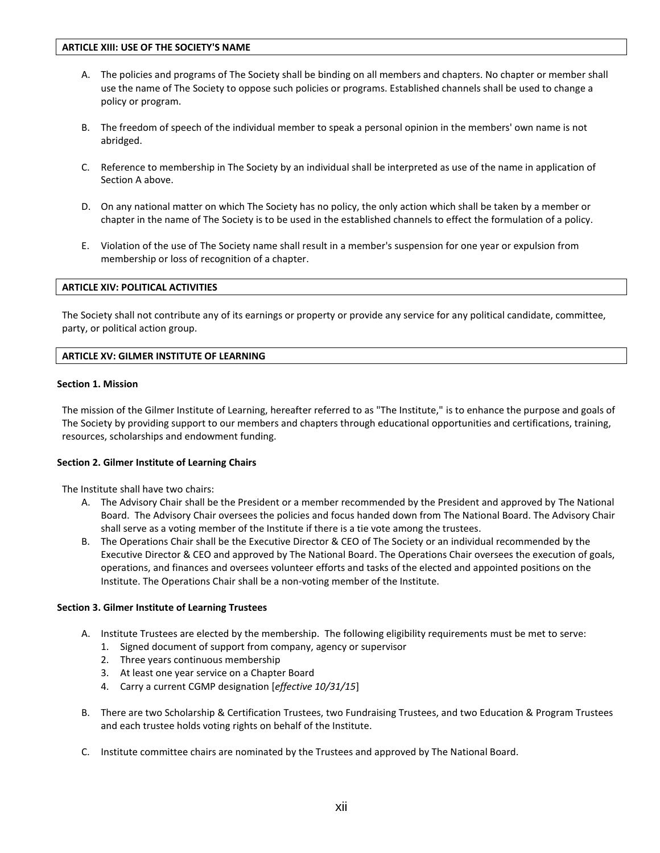- A. The policies and programs of The Society shall be binding on all members and chapters. No chapter or member shall use the name of The Society to oppose such policies or programs. Established channels shall be used to change a policy or program.
- B. The freedom of speech of the individual member to speak a personal opinion in the members' own name is not abridged.
- C. Reference to membership in The Society by an individual shall be interpreted as use of the name in application of Section A above.
- D. On any national matter on which The Society has no policy, the only action which shall be taken by a member or chapter in the name of The Society is to be used in the established channels to effect the formulation of a policy.
- E. Violation of the use of The Society name shall result in a member's suspension for one year or expulsion from membership or loss of recognition of a chapter.

## **ARTICLE XIV: POLITICAL ACTIVITIES**

The Society shall not contribute any of its earnings or property or provide any service for any political candidate, committee, party, or political action group.

## **ARTICLE XV: GILMER INSTITUTE OF LEARNING**

## **Section 1. Mission**

The mission of the Gilmer Institute of Learning, hereafter referred to as "The Institute," is to enhance the purpose and goals of The Society by providing support to our members and chapters through educational opportunities and certifications, training, resources, scholarships and endowment funding.

## **Section 2. Gilmer Institute of Learning Chairs**

The Institute shall have two chairs:

- A. The Advisory Chair shall be the President or a member recommended by the President and approved by The National Board. The Advisory Chair oversees the policies and focus handed down from The National Board. The Advisory Chair shall serve as a voting member of the Institute if there is a tie vote among the trustees.
- B. The Operations Chair shall be the Executive Director & CEO of The Society or an individual recommended by the Executive Director & CEO and approved by The National Board. The Operations Chair oversees the execution of goals, operations, and finances and oversees volunteer efforts and tasks of the elected and appointed positions on the Institute. The Operations Chair shall be a non-voting member of the Institute.

## **Section 3. Gilmer Institute of Learning Trustees**

- A. Institute Trustees are elected by the membership. The following eligibility requirements must be met to serve:
	- 1. Signed document of support from company, agency or supervisor
	- 2. Three years continuous membership
	- 3. At least one year service on a Chapter Board
	- 4. Carry a current CGMP designation [*effective 10/31/15*]
- B. There are two Scholarship & Certification Trustees, two Fundraising Trustees, and two Education & Program Trustees and each trustee holds voting rights on behalf of the Institute.
- C. Institute committee chairs are nominated by the Trustees and approved by The National Board.